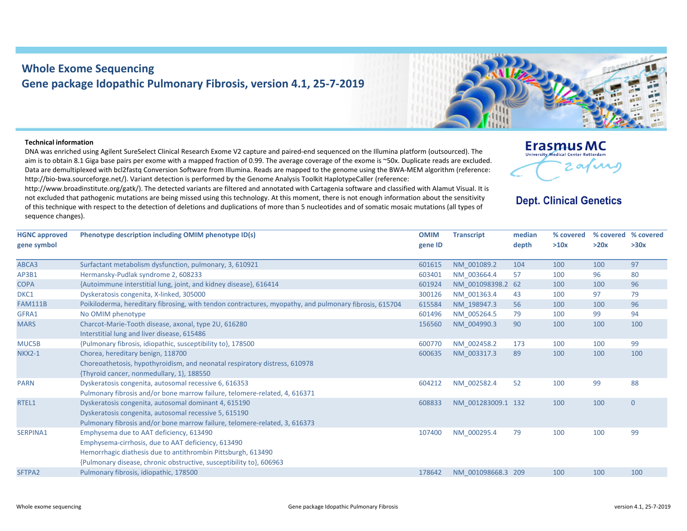## **Whole Exome Sequencing Gene package Idopathic Pulmonary Fibrosis, version 4.1, 25‐7‐2019**

## **Technical information**

DNA was enriched using Agilent SureSelect Clinical Research Exome V2 capture and paired‐end sequenced on the Illumina platform (outsourced). The aim is to obtain 8.1 Giga base pairs per exome with <sup>a</sup> mapped fraction of 0.99. The average coverage of the exome is ~50x. Duplicate reads are excluded. Data are demultiplexed with bcl2fastq Conversion Software from Illumina. Reads are mapped to the genome using the BWA‐MEM algorithm (reference: http://bio-bwa.sourceforge.net/). Variant detection is performed by the Genome Analysis Toolkit HaplotypeCaller (reference:

http://www.broadinstitute.org/gatk/). The detected variants are filtered and annotated with Cartagenia software and classified with Alamut Visual. It is not excluded that pathogenic mutations are being missed using this technology. At this moment, there is not enough information about the sensitivity of this technique with respect to the detection of deletions and duplications of more than 5 nucleotides and of somatic mosaic mutations (all types of sequence changes).

| $\sqrt{2}$ |  | Eafury |  |
|------------|--|--------|--|
|            |  |        |  |

**Erasmus MC** University Medical Center Rotterdam

## **Dept. Clinical Genetics**

| <b>HGNC approved</b><br>gene symbol | Phenotype description including OMIM phenotype ID(s)                                                                                                                                                                                 | <b>OMIM</b><br>gene ID | <b>Transcript</b>  | median<br>depth | % covered<br>>10x | % covered % covered<br>>20x | >30x           |
|-------------------------------------|--------------------------------------------------------------------------------------------------------------------------------------------------------------------------------------------------------------------------------------|------------------------|--------------------|-----------------|-------------------|-----------------------------|----------------|
| ABCA3                               | Surfactant metabolism dysfunction, pulmonary, 3, 610921                                                                                                                                                                              | 601615                 | NM 001089.2        | 104             | 100               | 100                         | 97             |
| AP3B1                               | Hermansky-Pudlak syndrome 2, 608233                                                                                                                                                                                                  | 603401                 | NM 003664.4        | 57              | 100               | 96                          | 80             |
| <b>COPA</b>                         | {Autoimmune interstitial lung, joint, and kidney disease}, 616414                                                                                                                                                                    | 601924                 | NM 001098398.2 62  |                 | 100               | 100                         | 96             |
| DKC1                                | Dyskeratosis congenita, X-linked, 305000                                                                                                                                                                                             | 300126                 | NM 001363.4        | 43              | 100               | 97                          | 79             |
| <b>FAM111B</b>                      | Poikiloderma, hereditary fibrosing, with tendon contractures, myopathy, and pulmonary fibrosis, 615704                                                                                                                               | 615584                 | NM 198947.3        | 56              | 100               | 100                         | 96             |
| GFRA1                               | No OMIM phenotype                                                                                                                                                                                                                    | 601496                 | NM 005264.5        | 79              | 100               | 99                          | 94             |
| <b>MARS</b>                         | Charcot-Marie-Tooth disease, axonal, type 2U, 616280<br>Interstitial lung and liver disease, 615486                                                                                                                                  | 156560                 | NM 004990.3        | 90              | 100               | 100                         | 100            |
| MUC5B                               | {Pulmonary fibrosis, idiopathic, susceptibility to}, 178500                                                                                                                                                                          | 600770                 | NM 002458.2        | 173             | 100               | 100                         | 99             |
| <b>NKX2-1</b>                       | Chorea, hereditary benign, 118700<br>Choreoathetosis, hypothyroidism, and neonatal respiratory distress, 610978<br>{Thyroid cancer, nonmedullary, 1}, 188550                                                                         | 600635                 | NM 003317.3        | 89              | 100               | 100                         | 100            |
| <b>PARN</b>                         | Dyskeratosis congenita, autosomal recessive 6, 616353<br>Pulmonary fibrosis and/or bone marrow failure, telomere-related, 4, 616371                                                                                                  | 604212                 | NM 002582.4        | 52              | 100               | 99                          | 88             |
| RTEL1                               | Dyskeratosis congenita, autosomal dominant 4, 615190<br>Dyskeratosis congenita, autosomal recessive 5, 615190<br>Pulmonary fibrosis and/or bone marrow failure, telomere-related, 3, 616373                                          | 608833                 | NM 001283009.1 132 |                 | 100               | 100                         | $\overline{0}$ |
| <b>SERPINA1</b>                     | Emphysema due to AAT deficiency, 613490<br>Emphysema-cirrhosis, due to AAT deficiency, 613490<br>Hemorrhagic diathesis due to antithrombin Pittsburgh, 613490<br>{Pulmonary disease, chronic obstructive, susceptibility to}, 606963 | 107400                 | NM 000295.4        | 79              | 100               | 100                         | 99             |
| SFTPA2                              | Pulmonary fibrosis, idiopathic, 178500                                                                                                                                                                                               | 178642                 | NM 001098668.3     | 209             | 100               | 100                         | 100            |